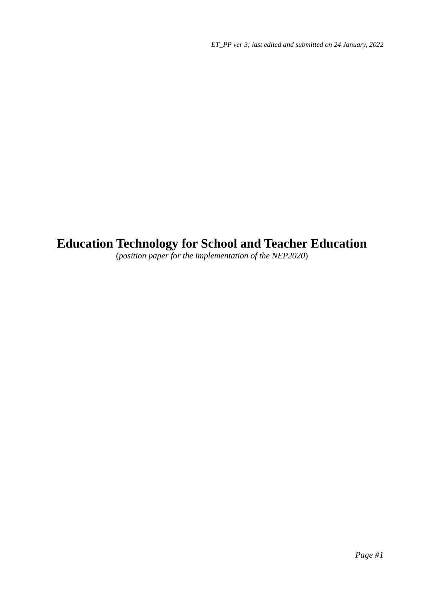# **Education Technology for School and Teacher Education**

(*position paper for the implementation of the NEP2020*)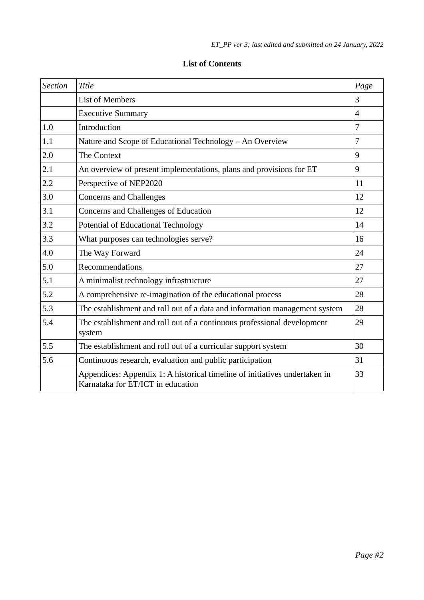| <b>Section</b> | Title                                                                                                           | Page |
|----------------|-----------------------------------------------------------------------------------------------------------------|------|
|                | <b>List of Members</b>                                                                                          | 3    |
|                | <b>Executive Summary</b>                                                                                        | 4    |
| 1.0            | Introduction                                                                                                    | 7    |
| 1.1            | Nature and Scope of Educational Technology - An Overview                                                        | 7    |
| 2.0            | <b>The Context</b>                                                                                              | 9    |
| 2.1            | An overview of present implementations, plans and provisions for ET                                             | 9    |
| 2.2            | Perspective of NEP2020                                                                                          | 11   |
| 3.0            | <b>Concerns and Challenges</b>                                                                                  | 12   |
| 3.1            | Concerns and Challenges of Education                                                                            | 12   |
| 3.2            | Potential of Educational Technology                                                                             | 14   |
| 3.3            | What purposes can technologies serve?                                                                           | 16   |
| 4.0            | The Way Forward                                                                                                 | 24   |
| 5.0            | Recommendations                                                                                                 | 27   |
| 5.1            | A minimalist technology infrastructure                                                                          | 27   |
| 5.2            | A comprehensive re-imagination of the educational process                                                       | 28   |
| 5.3            | The establishment and roll out of a data and information management system                                      | 28   |
| 5.4            | The establishment and roll out of a continuous professional development<br>system                               | 29   |
| 5.5            | The establishment and roll out of a curricular support system                                                   | 30   |
| 5.6            | Continuous research, evaluation and public participation                                                        | 31   |
|                | Appendices: Appendix 1: A historical timeline of initiatives undertaken in<br>Karnataka for ET/ICT in education | 33   |

# **List of Contents**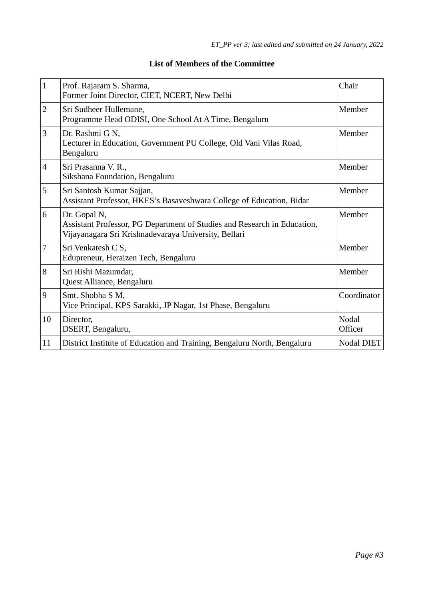| $\overline{1}$ | Prof. Rajaram S. Sharma,<br>Former Joint Director, CIET, NCERT, New Delhi                                                                        | Chair             |
|----------------|--------------------------------------------------------------------------------------------------------------------------------------------------|-------------------|
| $\overline{2}$ | Sri Sudheer Hullemane,<br>Programme Head ODISI, One School At A Time, Bengaluru                                                                  | Member            |
| 3              | Dr. Rashmi G N,<br>Lecturer in Education, Government PU College, Old Vani Vilas Road,<br>Bengaluru                                               | Member            |
| $\overline{4}$ | Sri Prasanna V. R.,<br>Sikshana Foundation, Bengaluru                                                                                            | Member            |
| 5              | Sri Santosh Kumar Sajjan,<br>Assistant Professor, HKES's Basaveshwara College of Education, Bidar                                                | Member            |
| 6              | Dr. Gopal N,<br>Assistant Professor, PG Department of Studies and Research in Education,<br>Vijayanagara Sri Krishnadevaraya University, Bellari | Member            |
| $\overline{7}$ | Sri Venkatesh C S,<br>Edupreneur, Heraizen Tech, Bengaluru                                                                                       | Member            |
| 8              | Sri Rishi Mazumdar,<br>Quest Alliance, Bengaluru                                                                                                 | Member            |
| 9              | Smt. Shobha S M,<br>Vice Principal, KPS Sarakki, JP Nagar, 1st Phase, Bengaluru                                                                  | Coordinator       |
| 10             | Director,<br>DSERT, Bengaluru,                                                                                                                   | Nodal<br>Officer  |
| 11             | District Institute of Education and Training, Bengaluru North, Bengaluru                                                                         | <b>Nodal DIET</b> |

# **List of Members of the Committee**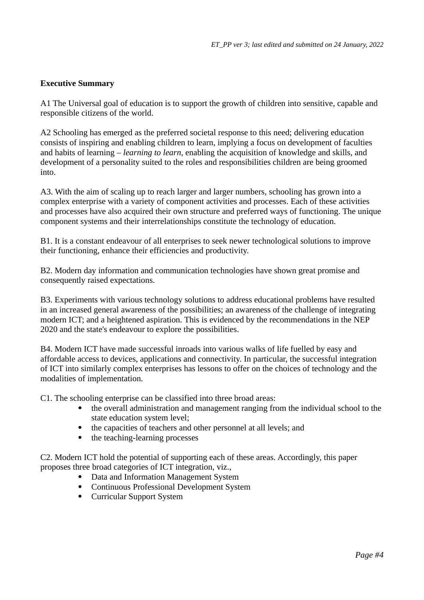## **Executive Summary**

A1 The Universal goal of education is to support the growth of children into sensitive, capable and responsible citizens of the world.

A2 Schooling has emerged as the preferred societal response to this need; delivering education consists of inspiring and enabling children to learn, implying a focus on development of faculties and habits of learning – *learning to learn*, enabling the acquisition of knowledge and skills, and development of a personality suited to the roles and responsibilities children are being groomed into.

A3. With the aim of scaling up to reach larger and larger numbers, schooling has grown into a complex enterprise with a variety of component activities and processes. Each of these activities and processes have also acquired their own structure and preferred ways of functioning. The unique component systems and their interrelationships constitute the technology of education.

B1. It is a constant endeavour of all enterprises to seek newer technological solutions to improve their functioning, enhance their efficiencies and productivity.

B2. Modern day information and communication technologies have shown great promise and consequently raised expectations.

B3. Experiments with various technology solutions to address educational problems have resulted in an increased general awareness of the possibilities; an awareness of the challenge of integrating modern ICT; and a heightened aspiration. This is evidenced by the recommendations in the NEP 2020 and the state's endeavour to explore the possibilities.

B4. Modern ICT have made successful inroads into various walks of life fuelled by easy and affordable access to devices, applications and connectivity. In particular, the successful integration of ICT into similarly complex enterprises has lessons to offer on the choices of technology and the modalities of implementation.

C1. The schooling enterprise can be classified into three broad areas:

- the overall administration and management ranging from the individual school to the state education system level;
- the capacities of teachers and other personnel at all levels; and
- the teaching-learning processes

C2. Modern ICT hold the potential of supporting each of these areas. Accordingly, this paper proposes three broad categories of ICT integration, viz.,

- Data and Information Management System
- Continuous Professional Development System
- Curricular Support System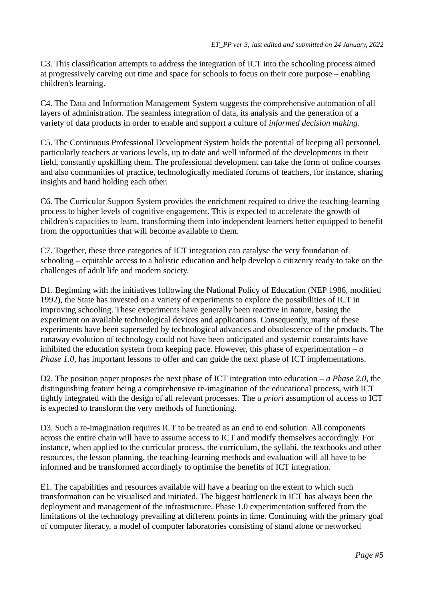C3. This classification attempts to address the integration of ICT into the schooling process aimed at progressively carving out time and space for schools to focus on their core purpose – enabling children's learning.

C4. The Data and Information Management System suggests the comprehensive automation of all layers of administration. The seamless integration of data, its analysis and the generation of a variety of data products in order to enable and support a culture of *informed decision making*.

C5. The Continuous Professional Development System holds the potential of keeping all personnel, particularly teachers at various levels, up to date and well informed of the developments in their field, constantly upskilling them. The professional development can take the form of online courses and also communities of practice, technologically mediated forums of teachers, for instance, sharing insights and hand holding each other.

C6. The Curricular Support System provides the enrichment required to drive the teaching-learning process to higher levels of cognitive engagement. This is expected to accelerate the growth of children's capacities to learn, transforming them into independent learners better equipped to benefit from the opportunities that will become available to them.

C7. Together, these three categories of ICT integration can catalyse the very foundation of schooling – equitable access to a holistic education and help develop a citizenry ready to take on the challenges of adult life and modern society.

D1. Beginning with the initiatives following the National Policy of Education (NEP 1986, modified 1992), the State has invested on a variety of experiments to explore the possibilities of ICT in improving schooling. These experiments have generally been reactive in nature, basing the experiment on available technological devices and applications. Consequently, many of these experiments have been superseded by technological advances and obsolescence of the products. The runaway evolution of technology could not have been anticipated and systemic constraints have inhibited the education system from keeping pace. However, this phase of experimentation  $-a$ *Phase 1.0*, has important lessons to offer and can guide the next phase of ICT implementations.

D2. The position paper proposes the next phase of ICT integration into education – *a Phase 2.0*, the distinguishing feature being a comprehensive re-imagination of the educational process, with ICT tightly integrated with the design of all relevant processes. The *a priori* assumption of access to ICT is expected to transform the very methods of functioning.

D3. Such a re-imagination requires ICT to be treated as an end to end solution. All components across the entire chain will have to assume access to ICT and modify themselves accordingly. For instance, when applied to the curricular process, the curriculum, the syllabi, the textbooks and other resources, the lesson planning, the teaching-learning methods and evaluation will all have to be informed and be transformed accordingly to optimise the benefits of ICT integration.

E1. The capabilities and resources available will have a bearing on the extent to which such transformation can be visualised and initiated. The biggest bottleneck in ICT has always been the deployment and management of the infrastructure. Phase 1.0 experimentation suffered from the limitations of the technology prevailing at different points in time. Continuing with the primary goal of computer literacy, a model of computer laboratories consisting of stand alone or networked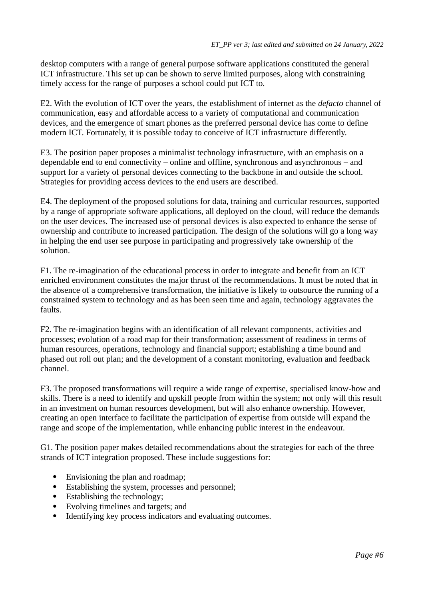desktop computers with a range of general purpose software applications constituted the general ICT infrastructure. This set up can be shown to serve limited purposes, along with constraining timely access for the range of purposes a school could put ICT to.

E2. With the evolution of ICT over the years, the establishment of internet as the *defacto* channel of communication, easy and affordable access to a variety of computational and communication devices, and the emergence of smart phones as the preferred personal device has come to define modern ICT. Fortunately, it is possible today to conceive of ICT infrastructure differently.

E3. The position paper proposes a minimalist technology infrastructure, with an emphasis on a dependable end to end connectivity – online and offline, synchronous and asynchronous – and support for a variety of personal devices connecting to the backbone in and outside the school. Strategies for providing access devices to the end users are described.

E4. The deployment of the proposed solutions for data, training and curricular resources, supported by a range of appropriate software applications, all deployed on the cloud, will reduce the demands on the user devices. The increased use of personal devices is also expected to enhance the sense of ownership and contribute to increased participation. The design of the solutions will go a long way in helping the end user see purpose in participating and progressively take ownership of the solution.

F1. The re-imagination of the educational process in order to integrate and benefit from an ICT enriched environment constitutes the major thrust of the recommendations. It must be noted that in the absence of a comprehensive transformation, the initiative is likely to outsource the running of a constrained system to technology and as has been seen time and again, technology aggravates the faults.

F2. The re-imagination begins with an identification of all relevant components, activities and processes; evolution of a road map for their transformation; assessment of readiness in terms of human resources, operations, technology and financial support; establishing a time bound and phased out roll out plan; and the development of a constant monitoring, evaluation and feedback channel.

F3. The proposed transformations will require a wide range of expertise, specialised know-how and skills. There is a need to identify and upskill people from within the system; not only will this result in an investment on human resources development, but will also enhance ownership. However, creating an open interface to facilitate the participation of expertise from outside will expand the range and scope of the implementation, while enhancing public interest in the endeavour.

G1. The position paper makes detailed recommendations about the strategies for each of the three strands of ICT integration proposed. These include suggestions for:

- Envisioning the plan and roadmap;
- Establishing the system, processes and personnel;
- Establishing the technology;
- Evolving timelines and targets; and
- Identifying key process indicators and evaluating outcomes.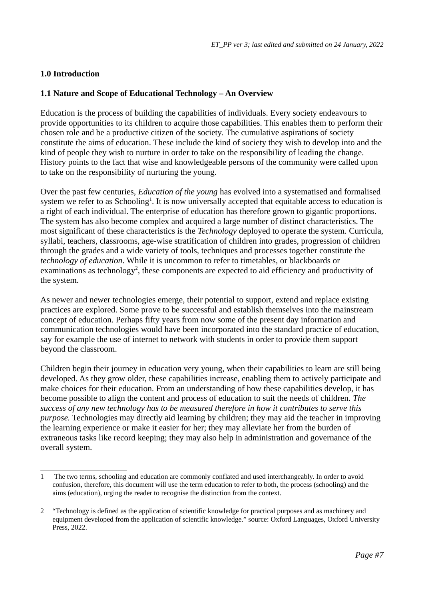## **1.0 Introduction**

## **1.1 Nature and Scope of Educational Technology – An Overview**

Education is the process of building the capabilities of individuals. Every society endeavours to provide opportunities to its children to acquire those capabilities. This enables them to perform their chosen role and be a productive citizen of the society. The cumulative aspirations of society constitute the aims of education. These include the kind of society they wish to develop into and the kind of people they wish to nurture in order to take on the responsibility of leading the change. History points to the fact that wise and knowledgeable persons of the community were called upon to take on the responsibility of nurturing the young.

<span id="page-6-0"></span>Over the past few centuries, *Education of the young* has evolved into a systematised and formalised system we refer to as  $\rm Schooling^1.$  $\rm Schooling^1.$  $\rm Schooling^1.$  It is now universally accepted that equitable access to education is a right of each individual. The enterprise of education has therefore grown to gigantic proportions. The system has also become complex and acquired a large number of distinct characteristics. The most significant of these characteristics is the *Technology* deployed to operate the system. Curricula, syllabi, teachers, classrooms, age-wise stratification of children into grades, progression of children through the grades and a wide variety of tools, techniques and processes together constitute the *technology of education*. While it is uncommon to refer to timetables, or blackboards or examinations as technology<sup>[2](#page-6-3)</sup>, these components are expected to aid efficiency and productivity of the system.

<span id="page-6-2"></span>As newer and newer technologies emerge, their potential to support, extend and replace existing practices are explored. Some prove to be successful and establish themselves into the mainstream concept of education. Perhaps fifty years from now some of the present day information and communication technologies would have been incorporated into the standard practice of education, say for example the use of internet to network with students in order to provide them support beyond the classroom.

Children begin their journey in education very young, when their capabilities to learn are still being developed. As they grow older, these capabilities increase, enabling them to actively participate and make choices for their education. From an understanding of how these capabilities develop, it has become possible to align the content and process of education to suit the needs of children. *The success of any new technology has to be measured therefore in how it contributes to serve this purpose.* Technologies may directly aid learning by children; they may aid the teacher in improving the learning experience or make it easier for her; they may alleviate her from the burden of extraneous tasks like record keeping; they may also help in administration and governance of the overall system.

<span id="page-6-1"></span>[<sup>1</sup>](#page-6-0) The two terms, schooling and education are commonly conflated and used interchangeably. In order to avoid confusion, therefore, this document will use the term education to refer to both, the process (schooling) and the aims (education), urging the reader to recognise the distinction from the context.

<span id="page-6-3"></span>[<sup>2</sup>](#page-6-2) "Technology is defined as the application of scientific knowledge for practical purposes and as machinery and equipment developed from the application of scientific knowledge." source: Oxford Languages, Oxford University Press, 2022.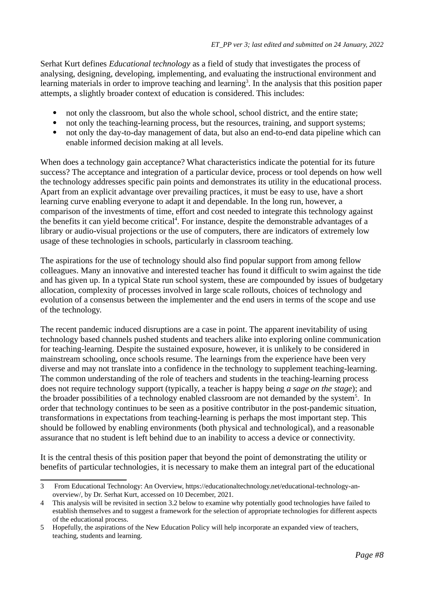Serhat Kurt defines *Educational technology* as a field of study that investigates the process of analysing, designing, developing, implementing, and evaluating the instructional environment and learning materials in order to improve teaching and learning $^3$  $^3$ . In the analysis that this position paper attempts, a slightly broader context of education is considered. This includes:

- <span id="page-7-0"></span>• not only the classroom, but also the whole school, school district, and the entire state;<br>• not only the teaching-learning process, but the resources, training, and support system
- not only the teaching-learning process, but the resources, training, and support systems;
- not only the day-to-day management of data, but also an end-to-end data pipeline which can enable informed decision making at all levels.

When does a technology gain acceptance? What characteristics indicate the potential for its future success? The acceptance and integration of a particular device, process or tool depends on how well the technology addresses specific pain points and demonstrates its utility in the educational process. Apart from an explicit advantage over prevailing practices, it must be easy to use, have a short learning curve enabling everyone to adapt it and dependable. In the long run, however, a comparison of the investments of time, effort and cost needed to integrate this technology against the benefits it can yield become critical<sup>[4](#page-7-3)</sup>. For instance, despite the demonstrable advantages of a library or audio-visual projections or the use of computers, there are indicators of extremely low usage of these technologies in schools, particularly in classroom teaching.

<span id="page-7-2"></span>The aspirations for the use of technology should also find popular support from among fellow colleagues. Many an innovative and interested teacher has found it difficult to swim against the tide and has given up. In a typical State run school system, these are compounded by issues of budgetary allocation, complexity of processes involved in large scale rollouts, choices of technology and evolution of a consensus between the implementer and the end users in terms of the scope and use of the technology.

The recent pandemic induced disruptions are a case in point. The apparent inevitability of using technology based channels pushed students and teachers alike into exploring online communication for teaching-learning. Despite the sustained exposure, however, it is unlikely to be considered in mainstream schooling, once schools resume. The learnings from the experience have been very diverse and may not translate into a confidence in the technology to supplement teaching-learning. The common understanding of the role of teachers and students in the teaching-learning process does not require technology support (typically, a teacher is happy being *a sage on the stage*); and the broader possibilities of a technology enabled classroom are not demanded by the system<sup>[5](#page-7-5)</sup>. In order that technology continues to be seen as a positive contributor in the post-pandemic situation, transformations in expectations from teaching-learning is perhaps the most important step. This should be followed by enabling environments (both physical and technological), and a reasonable assurance that no student is left behind due to an inability to access a device or connectivity.

<span id="page-7-4"></span>It is the central thesis of this position paper that beyond the point of demonstrating the utility or benefits of particular technologies, it is necessary to make them an integral part of the educational

<span id="page-7-1"></span>[<sup>3</sup>](#page-7-0) From Educational Technology: An Overview, https://educationaltechnology.net/educational-technology-anoverview/, by Dr. Serhat Kurt, accessed on 10 December, 2021.

<span id="page-7-3"></span>[<sup>4</sup>](#page-7-2) This analysis will be revisited in section 3.2 below to examine why potentially good technologies have failed to establish themselves and to suggest a framework for the selection of appropriate technologies for different aspects of the educational process.

<span id="page-7-5"></span>[<sup>5</sup>](#page-7-4) Hopefully, the aspirations of the New Education Policy will help incorporate an expanded view of teachers, teaching, students and learning.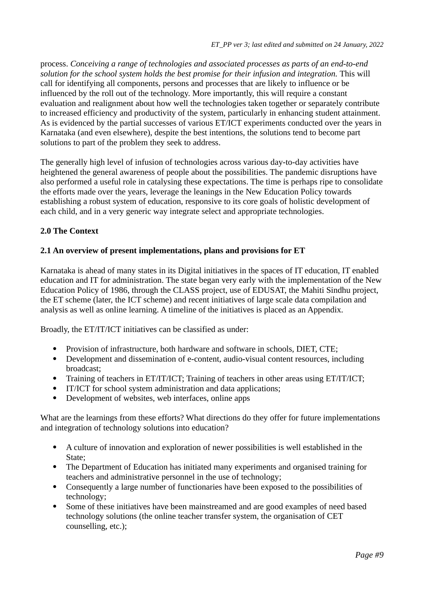process. *Conceiving a range of technologies and associated processes as parts of an end-to-end solution for the school system holds the best promise for their infusion and integration.* This will call for identifying all components, persons and processes that are likely to influence or be influenced by the roll out of the technology. More importantly, this will require a constant evaluation and realignment about how well the technologies taken together or separately contribute to increased efficiency and productivity of the system, particularly in enhancing student attainment. As is evidenced by the partial successes of various ET/ICT experiments conducted over the years in Karnataka (and even elsewhere), despite the best intentions, the solutions tend to become part solutions to part of the problem they seek to address.

The generally high level of infusion of technologies across various day-to-day activities have heightened the general awareness of people about the possibilities. The pandemic disruptions have also performed a useful role in catalysing these expectations. The time is perhaps ripe to consolidate the efforts made over the years, leverage the leanings in the New Education Policy towards establishing a robust system of education, responsive to its core goals of holistic development of each child, and in a very generic way integrate select and appropriate technologies.

## **2.0 The Context**

#### **2.1 An overview of present implementations, plans and provisions for ET**

Karnataka is ahead of many states in its Digital initiatives in the spaces of IT education, IT enabled education and IT for administration. The state began very early with the implementation of the New Education Policy of 1986, through the CLASS project, use of EDUSAT, the Mahiti Sindhu project, the ET scheme (later, the ICT scheme) and recent initiatives of large scale data compilation and analysis as well as online learning. A timeline of the initiatives is placed as an Appendix.

Broadly, the ET/IT/ICT initiatives can be classified as under:

- Provision of infrastructure, both hardware and software in schools, DIET, CTE;
- Development and dissemination of e-content, audio-visual content resources, including broadcast;
- Training of teachers in ET/IT/ICT; Training of teachers in other areas using ET/IT/ICT;
- IT/ICT for school system administration and data applications;
- Development of websites, web interfaces, online apps

What are the learnings from these efforts? What directions do they offer for future implementations and integration of technology solutions into education?

- A culture of innovation and exploration of newer possibilities is well established in the State;
- The Department of Education has initiated many experiments and organised training for teachers and administrative personnel in the use of technology;
- Consequently a large number of functionaries have been exposed to the possibilities of technology;
- Some of these initiatives have been mainstreamed and are good examples of need based technology solutions (the online teacher transfer system, the organisation of CET counselling, etc.);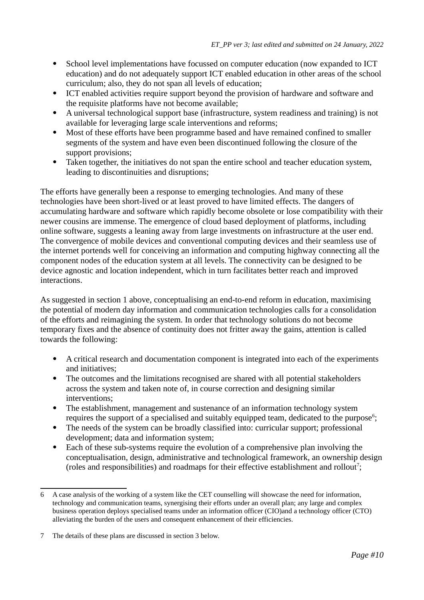- School level implementations have focussed on computer education (now expanded to ICT education) and do not adequately support ICT enabled education in other areas of the school curriculum; also, they do not span all levels of education;
- ICT enabled activities require support beyond the provision of hardware and software and the requisite platforms have not become available;
- A universal technological support base (infrastructure, system readiness and training) is not available for leveraging large scale interventions and reforms;
- Most of these efforts have been programme based and have remained confined to smaller segments of the system and have even been discontinued following the closure of the support provisions;
- Taken together, the initiatives do not span the entire school and teacher education system, leading to discontinuities and disruptions;

The efforts have generally been a response to emerging technologies. And many of these technologies have been short-lived or at least proved to have limited effects. The dangers of accumulating hardware and software which rapidly become obsolete or lose compatibility with their newer cousins are immense. The emergence of cloud based deployment of platforms, including online software, suggests a leaning away from large investments on infrastructure at the user end. The convergence of mobile devices and conventional computing devices and their seamless use of the internet portends well for conceiving an information and computing highway connecting all the component nodes of the education system at all levels. The connectivity can be designed to be device agnostic and location independent, which in turn facilitates better reach and improved interactions.

As suggested in section 1 above, conceptualising an end-to-end reform in education, maximising the potential of modern day information and communication technologies calls for a consolidation of the efforts and reimagining the system. In order that technology solutions do not become temporary fixes and the absence of continuity does not fritter away the gains, attention is called towards the following:

- A critical research and documentation component is integrated into each of the experiments and initiatives;
- The outcomes and the limitations recognised are shared with all potential stakeholders across the system and taken note of, in course correction and designing similar interventions;
- <span id="page-9-0"></span> The establishment, management and sustenance of an information technology system requires the support of a specialised and suitably equipped team, dedicated to the purpose<sup>[6](#page-9-1)</sup>;
- The needs of the system can be broadly classified into: curricular support; professional development; data and information system;
- <span id="page-9-2"></span> Each of these sub-systems require the evolution of a comprehensive plan involving the conceptualisation, design, administrative and technological framework, an ownership design (roles and responsibilities) and roadmaps for their effective establishment and rollout<sup>[7](#page-9-3)</sup>;

<span id="page-9-1"></span>[<sup>6</sup>](#page-9-0) A case analysis of the working of a system like the CET counselling will showcase the need for information, technology and communication teams, synergising their efforts under an overall plan; any large and complex business operation deploys specialised teams under an information officer (CIO)and a technology officer (CTO) alleviating the burden of the users and consequent enhancement of their efficiencies.

<span id="page-9-3"></span>[<sup>7</sup>](#page-9-2) The details of these plans are discussed in section 3 below.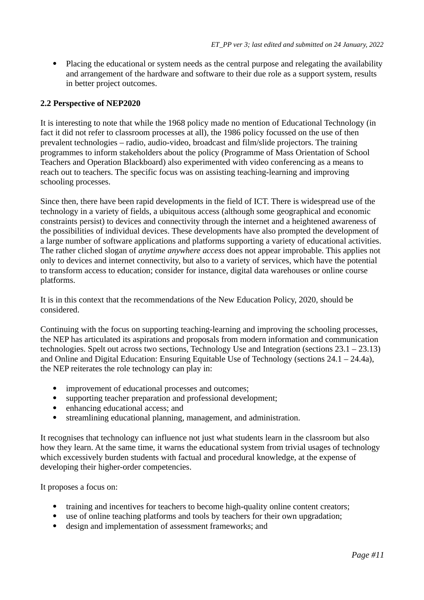Placing the educational or system needs as the central purpose and relegating the availability and arrangement of the hardware and software to their due role as a support system, results in better project outcomes.

#### **2.2 Perspective of NEP2020**

It is interesting to note that while the 1968 policy made no mention of Educational Technology (in fact it did not refer to classroom processes at all), the 1986 policy focussed on the use of then prevalent technologies – radio, audio-video, broadcast and film/slide projectors. The training programmes to inform stakeholders about the policy (Programme of Mass Orientation of School Teachers and Operation Blackboard) also experimented with video conferencing as a means to reach out to teachers. The specific focus was on assisting teaching-learning and improving schooling processes.

Since then, there have been rapid developments in the field of ICT. There is widespread use of the technology in a variety of fields, a ubiquitous access (although some geographical and economic constraints persist) to devices and connectivity through the internet and a heightened awareness of the possibilities of individual devices. These developments have also prompted the development of a large number of software applications and platforms supporting a variety of educational activities. The rather cliched slogan of *anytime anywhere access* does not appear improbable. This applies not only to devices and internet connectivity, but also to a variety of services, which have the potential to transform access to education; consider for instance, digital data warehouses or online course platforms.

It is in this context that the recommendations of the New Education Policy, 2020, should be considered.

Continuing with the focus on supporting teaching-learning and improving the schooling processes, the NEP has articulated its aspirations and proposals from modern information and communication technologies. Spelt out across two sections, Technology Use and Integration (sections 23.1 – 23.13) and Online and Digital Education: Ensuring Equitable Use of Technology (sections 24.1 – 24.4a), the NEP reiterates the role technology can play in:

- improvement of educational processes and outcomes;
- supporting teacher preparation and professional development;
- enhancing educational access; and
- streamlining educational planning, management, and administration.

It recognises that technology can influence not just what students learn in the classroom but also how they learn. At the same time, it warns the educational system from trivial usages of technology which excessively burden students with factual and procedural knowledge, at the expense of developing their higher-order competencies.

It proposes a focus on:

- training and incentives for teachers to become high-quality online content creators;
- use of online teaching platforms and tools by teachers for their own upgradation;
- design and implementation of assessment frameworks; and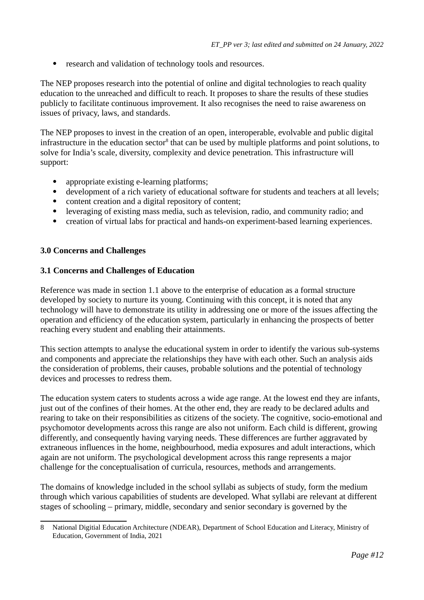• research and validation of technology tools and resources.

The NEP proposes research into the potential of online and digital technologies to reach quality education to the unreached and difficult to reach. It proposes to share the results of these studies publicly to facilitate continuous improvement. It also recognises the need to raise awareness on issues of privacy, laws, and standards.

The NEP proposes to invest in the creation of an open, interoperable, evolvable and public digital infrastructure in the education sector $^8$  $^8$  that can be used by multiple platforms and point solutions, to solve for India's scale, diversity, complexity and device penetration. This infrastructure will support:

- <span id="page-11-0"></span>appropriate existing e-learning platforms;
- development of a rich variety of educational software for students and teachers at all levels;<br>• content creation and a digital repository of content:
- content creation and a digital repository of content;<br>• leveraging of existing mass media, such as television
- leveraging of existing mass media, such as television, radio, and community radio; and
- creation of virtual labs for practical and hands-on experiment-based learning experiences.

## **3.0 Concerns and Challenges**

## **3.1 Concerns and Challenges of Education**

Reference was made in section 1.1 above to the enterprise of education as a formal structure developed by society to nurture its young. Continuing with this concept, it is noted that any technology will have to demonstrate its utility in addressing one or more of the issues affecting the operation and efficiency of the education system, particularly in enhancing the prospects of better reaching every student and enabling their attainments.

This section attempts to analyse the educational system in order to identify the various sub-systems and components and appreciate the relationships they have with each other. Such an analysis aids the consideration of problems, their causes, probable solutions and the potential of technology devices and processes to redress them.

The education system caters to students across a wide age range. At the lowest end they are infants, just out of the confines of their homes. At the other end, they are ready to be declared adults and rearing to take on their responsibilities as citizens of the society. The cognitive, socio-emotional and psychomotor developments across this range are also not uniform. Each child is different, growing differently, and consequently having varying needs. These differences are further aggravated by extraneous influences in the home, neighbourhood, media exposures and adult interactions, which again are not uniform. The psychological development across this range represents a major challenge for the conceptualisation of curricula, resources, methods and arrangements.

The domains of knowledge included in the school syllabi as subjects of study, form the medium through which various capabilities of students are developed. What syllabi are relevant at different stages of schooling – primary, middle, secondary and senior secondary is governed by the

<span id="page-11-1"></span>[<sup>8</sup>](#page-11-0) National Digitial Education Architecture (NDEAR), Department of School Education and Literacy, Ministry of Education, Government of India, 2021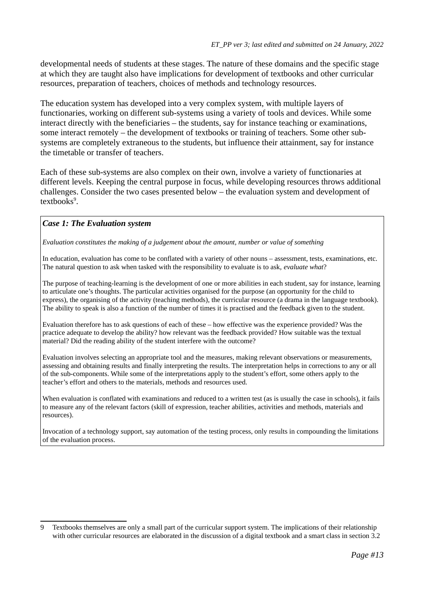developmental needs of students at these stages. The nature of these domains and the specific stage at which they are taught also have implications for development of textbooks and other curricular resources, preparation of teachers, choices of methods and technology resources.

The education system has developed into a very complex system, with multiple layers of functionaries, working on different sub-systems using a variety of tools and devices. While some interact directly with the beneficiaries – the students, say for instance teaching or examinations, some interact remotely – the development of textbooks or training of teachers. Some other subsystems are completely extraneous to the students, but influence their attainment, say for instance the timetable or transfer of teachers.

Each of these sub-systems are also complex on their own, involve a variety of functionaries at different levels. Keeping the central purpose in focus, while developing resources throws additional challenges. Consider the two cases presented below – the evaluation system and development of textbooks<sup>[9](#page-12-1)</sup>.

#### <span id="page-12-0"></span>*Case 1: The Evaluation system*

*Evaluation constitutes the making of a judgement about the amount, number or value of something*

In education, evaluation has come to be conflated with a variety of other nouns – assessment, tests, examinations, etc. The natural question to ask when tasked with the responsibility to evaluate is to ask, *evaluate what*?

The purpose of teaching-learning is the development of one or more abilities in each student, say for instance, learning to articulate one's thoughts. The particular activities organised for the purpose (an opportunity for the child to express), the organising of the activity (teaching methods), the curricular resource (a drama in the language textbook). The ability to speak is also a function of the number of times it is practised and the feedback given to the student.

Evaluation therefore has to ask questions of each of these – how effective was the experience provided? Was the practice adequate to develop the ability? how relevant was the feedback provided? How suitable was the textual material? Did the reading ability of the student interfere with the outcome?

Evaluation involves selecting an appropriate tool and the measures, making relevant observations or measurements, assessing and obtaining results and finally interpreting the results. The interpretation helps in corrections to any or all of the sub-components. While some of the interpretations apply to the student's effort, some others apply to the teacher's effort and others to the materials, methods and resources used.

When evaluation is conflated with examinations and reduced to a written test (as is usually the case in schools), it fails to measure any of the relevant factors (skill of expression, teacher abilities, activities and methods, materials and resources).

Invocation of a technology support, say automation of the testing process, only results in compounding the limitations of the evaluation process.

<span id="page-12-1"></span>[<sup>9</sup>](#page-12-0) Textbooks themselves are only a small part of the curricular support system. The implications of their relationship with other curricular resources are elaborated in the discussion of a digital textbook and a smart class in section 3.2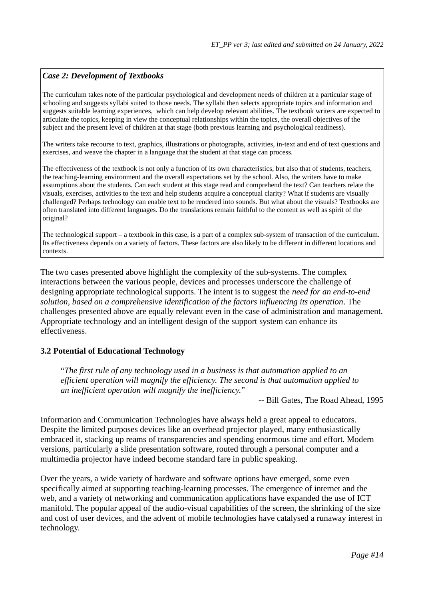## *Case 2: Development of Textbooks*

The curriculum takes note of the particular psychological and development needs of children at a particular stage of schooling and suggests syllabi suited to those needs. The syllabi then selects appropriate topics and information and suggests suitable learning experiences, which can help develop relevant abilities. The textbook writers are expected to articulate the topics, keeping in view the conceptual relationships within the topics, the overall objectives of the subject and the present level of children at that stage (both previous learning and psychological readiness).

The writers take recourse to text, graphics, illustrations or photographs, activities, in-text and end of text questions and exercises, and weave the chapter in a language that the student at that stage can process.

The effectiveness of the textbook is not only a function of its own characteristics, but also that of students, teachers, the teaching-learning environment and the overall expectations set by the school. Also, the writers have to make assumptions about the students. Can each student at this stage read and comprehend the text? Can teachers relate the visuals, exercises, activities to the text and help students acquire a conceptual clarity? What if students are visually challenged? Perhaps technology can enable text to be rendered into sounds. But what about the visuals? Textbooks are often translated into different languages. Do the translations remain faithful to the content as well as spirit of the original?

The technological support – a textbook in this case, is a part of a complex sub-system of transaction of the curriculum. Its effectiveness depends on a variety of factors. These factors are also likely to be different in different locations and contexts.

The two cases presented above highlight the complexity of the sub-systems. The complex interactions between the various people, devices and processes underscore the challenge of designing appropriate technological supports. The intent is to suggest the *need for an end-to-end solution, based on a comprehensive identification of the factors influencing its operation*. The challenges presented above are equally relevant even in the case of administration and management. Appropriate technology and an intelligent design of the support system can enhance its effectiveness.

#### **3.2 Potential of Educational Technology**

"*The first rule of any technology used in a business is that automation applied to an efficient operation will magnify the efficiency. The second is that automation applied to an inefficient operation will magnify the inefficiency.*"

-- Bill Gates, The Road Ahead, 1995

Information and Communication Technologies have always held a great appeal to educators. Despite the limited purposes devices like an overhead projector played, many enthusiastically embraced it, stacking up reams of transparencies and spending enormous time and effort. Modern versions, particularly a slide presentation software, routed through a personal computer and a multimedia projector have indeed become standard fare in public speaking.

Over the years, a wide variety of hardware and software options have emerged, some even specifically aimed at supporting teaching-learning processes. The emergence of internet and the web, and a variety of networking and communication applications have expanded the use of ICT manifold. The popular appeal of the audio-visual capabilities of the screen, the shrinking of the size and cost of user devices, and the advent of mobile technologies have catalysed a runaway interest in technology.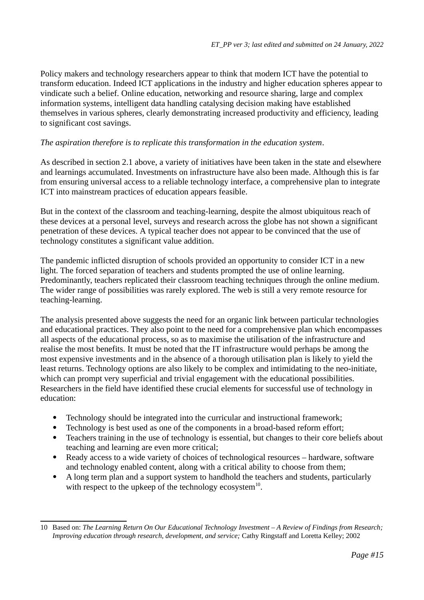Policy makers and technology researchers appear to think that modern ICT have the potential to transform education. Indeed ICT applications in the industry and higher education spheres appear to vindicate such a belief. Online education, networking and resource sharing, large and complex information systems, intelligent data handling catalysing decision making have established themselves in various spheres, clearly demonstrating increased productivity and efficiency, leading to significant cost savings.

## *The aspiration therefore is to replicate this transformation in the education system*.

As described in section 2.1 above, a variety of initiatives have been taken in the state and elsewhere and learnings accumulated. Investments on infrastructure have also been made. Although this is far from ensuring universal access to a reliable technology interface, a comprehensive plan to integrate ICT into mainstream practices of education appears feasible.

But in the context of the classroom and teaching-learning, despite the almost ubiquitous reach of these devices at a personal level, surveys and research across the globe has not shown a significant penetration of these devices. A typical teacher does not appear to be convinced that the use of technology constitutes a significant value addition.

The pandemic inflicted disruption of schools provided an opportunity to consider ICT in a new light. The forced separation of teachers and students prompted the use of online learning. Predominantly, teachers replicated their classroom teaching techniques through the online medium. The wider range of possibilities was rarely explored. The web is still a very remote resource for teaching-learning.

The analysis presented above suggests the need for an organic link between particular technologies and educational practices. They also point to the need for a comprehensive plan which encompasses all aspects of the educational process, so as to maximise the utilisation of the infrastructure and realise the most benefits. It must be noted that the IT infrastructure would perhaps be among the most expensive investments and in the absence of a thorough utilisation plan is likely to yield the least returns. Technology options are also likely to be complex and intimidating to the neo-initiate, which can prompt very superficial and trivial engagement with the educational possibilities. Researchers in the field have identified these crucial elements for successful use of technology in education:

- Technology should be integrated into the curricular and instructional framework;
- Technology is best used as one of the components in a broad-based reform effort;<br>• Teachers training in the use of technology is essential but changes to their core be
- Teachers training in the use of technology is essential, but changes to their core beliefs about teaching and learning are even more critical;
- Ready access to a wide variety of choices of technological resources hardware, software and technology enabled content, along with a critical ability to choose from them;
- <span id="page-14-0"></span> A long term plan and a support system to handhold the teachers and students, particularly with respect to the upkeep of the technology ecosystem $^{\rm 10}.$  $^{\rm 10}.$  $^{\rm 10}.$

<span id="page-14-1"></span>[<sup>10</sup>](#page-14-0) Based on: *The Learning Return On Our Educational Technology Investment – A Review of Findings from Research; Improving education through research, development, and service;* Cathy Ringstaff and Loretta Kelley; 2002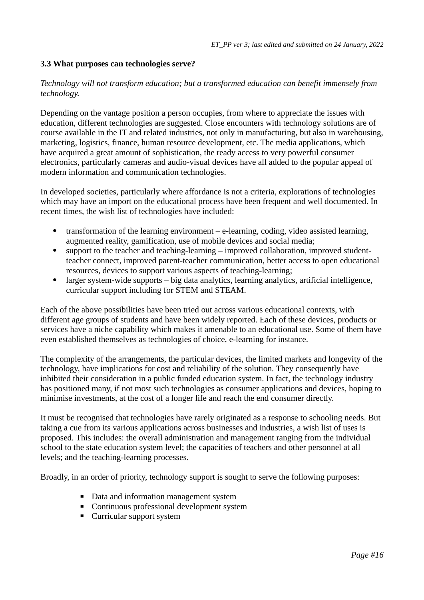## **3.3 What purposes can technologies serve?**

#### *Technology will not transform education; but a transformed education can benefit immensely from technology.*

Depending on the vantage position a person occupies, from where to appreciate the issues with education, different technologies are suggested. Close encounters with technology solutions are of course available in the IT and related industries, not only in manufacturing, but also in warehousing, marketing, logistics, finance, human resource development, etc. The media applications, which have acquired a great amount of sophistication, the ready access to very powerful consumer electronics, particularly cameras and audio-visual devices have all added to the popular appeal of modern information and communication technologies.

In developed societies, particularly where affordance is not a criteria, explorations of technologies which may have an import on the educational process have been frequent and well documented. In recent times, the wish list of technologies have included:

- transformation of the learning environment e-learning, coding, video assisted learning, augmented reality, gamification, use of mobile devices and social media;
- support to the teacher and teaching-learning improved collaboration, improved studentteacher connect, improved parent-teacher communication, better access to open educational resources, devices to support various aspects of teaching-learning;
- larger system-wide supports big data analytics, learning analytics, artificial intelligence, curricular support including for STEM and STEAM.

Each of the above possibilities have been tried out across various educational contexts, with different age groups of students and have been widely reported. Each of these devices, products or services have a niche capability which makes it amenable to an educational use. Some of them have even established themselves as technologies of choice, e-learning for instance.

The complexity of the arrangements, the particular devices, the limited markets and longevity of the technology, have implications for cost and reliability of the solution. They consequently have inhibited their consideration in a public funded education system. In fact, the technology industry has positioned many, if not most such technologies as consumer applications and devices, hoping to minimise investments, at the cost of a longer life and reach the end consumer directly.

It must be recognised that technologies have rarely originated as a response to schooling needs. But taking a cue from its various applications across businesses and industries, a wish list of uses is proposed. This includes: the overall administration and management ranging from the individual school to the state education system level; the capacities of teachers and other personnel at all levels; and the teaching-learning processes.

Broadly, in an order of priority, technology support is sought to serve the following purposes:

- Data and information management system
- Continuous professional development system
- Curricular support system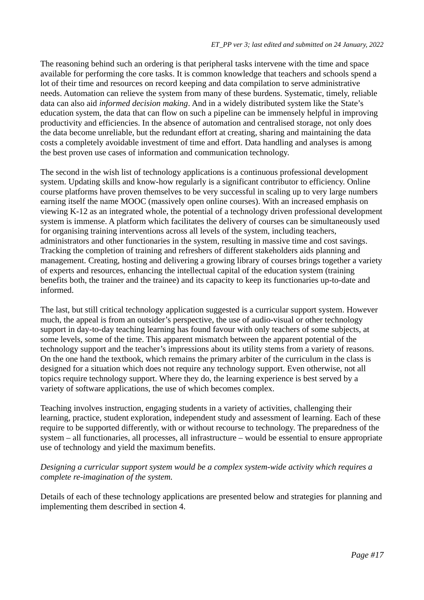The reasoning behind such an ordering is that peripheral tasks intervene with the time and space available for performing the core tasks. It is common knowledge that teachers and schools spend a lot of their time and resources on record keeping and data compilation to serve administrative needs. Automation can relieve the system from many of these burdens. Systematic, timely, reliable data can also aid *informed decision making*. And in a widely distributed system like the State's education system, the data that can flow on such a pipeline can be immensely helpful in improving productivity and efficiencies. In the absence of automation and centralised storage, not only does the data become unreliable, but the redundant effort at creating, sharing and maintaining the data costs a completely avoidable investment of time and effort. Data handling and analyses is among the best proven use cases of information and communication technology.

The second in the wish list of technology applications is a continuous professional development system. Updating skills and know-how regularly is a significant contributor to efficiency. Online course platforms have proven themselves to be very successful in scaling up to very large numbers earning itself the name MOOC (massively open online courses). With an increased emphasis on viewing K-12 as an integrated whole, the potential of a technology driven professional development system is immense. A platform which facilitates the delivery of courses can be simultaneously used for organising training interventions across all levels of the system, including teachers, administrators and other functionaries in the system, resulting in massive time and cost savings. Tracking the completion of training and refreshers of different stakeholders aids planning and management. Creating, hosting and delivering a growing library of courses brings together a variety of experts and resources, enhancing the intellectual capital of the education system (training benefits both, the trainer and the trainee) and its capacity to keep its functionaries up-to-date and informed.

The last, but still critical technology application suggested is a curricular support system. However much, the appeal is from an outsider's perspective, the use of audio-visual or other technology support in day-to-day teaching learning has found favour with only teachers of some subjects, at some levels, some of the time. This apparent mismatch between the apparent potential of the technology support and the teacher's impressions about its utility stems from a variety of reasons. On the one hand the textbook, which remains the primary arbiter of the curriculum in the class is designed for a situation which does not require any technology support. Even otherwise, not all topics require technology support. Where they do, the learning experience is best served by a variety of software applications, the use of which becomes complex.

Teaching involves instruction, engaging students in a variety of activities, challenging their learning, practice, student exploration, independent study and assessment of learning. Each of these require to be supported differently, with or without recourse to technology. The preparedness of the system – all functionaries, all processes, all infrastructure – would be essential to ensure appropriate use of technology and yield the maximum benefits.

## *Designing a curricular support system would be a complex system-wide activity which requires a complete re-imagination of the system.*

Details of each of these technology applications are presented below and strategies for planning and implementing them described in section 4.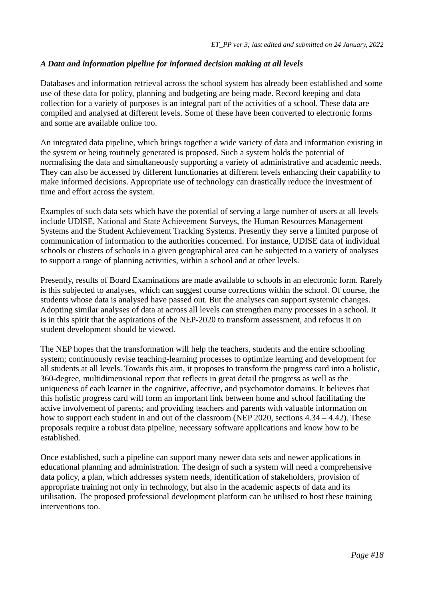## *A Data and information pipeline for informed decision making at all levels*

Databases and information retrieval across the school system has already been established and some use of these data for policy, planning and budgeting are being made. Record keeping and data collection for a variety of purposes is an integral part of the activities of a school. These data are compiled and analysed at different levels. Some of these have been converted to electronic forms and some are available online too.

An integrated data pipeline, which brings together a wide variety of data and information existing in the system or being routinely generated is proposed. Such a system holds the potential of normalising the data and simultaneously supporting a variety of administrative and academic needs. They can also be accessed by different functionaries at different levels enhancing their capability to make informed decisions. Appropriate use of technology can drastically reduce the investment of time and effort across the system.

Examples of such data sets which have the potential of serving a large number of users at all levels include UDISE, National and State Achievement Surveys, the Human Resources Management Systems and the Student Achievement Tracking Systems. Presently they serve a limited purpose of communication of information to the authorities concerned. For instance, UDISE data of individual schools or clusters of schools in a given geographical area can be subjected to a variety of analyses to support a range of planning activities, within a school and at other levels.

Presently, results of Board Examinations are made available to schools in an electronic form. Rarely is this subjected to analyses, which can suggest course corrections within the school. Of course, the students whose data is analysed have passed out. But the analyses can support systemic changes. Adopting similar analyses of data at across all levels can strengthen many processes in a school. It is in this spirit that the aspirations of the NEP-2020 to transform assessment, and refocus it on student development should be viewed.

The NEP hopes that the transformation will help the teachers, students and the entire schooling system; continuously revise teaching-learning processes to optimize learning and development for all students at all levels. Towards this aim, it proposes to transform the progress card into a holistic, 360-degree, multidimensional report that reflects in great detail the progress as well as the uniqueness of each learner in the cognitive, affective, and psychomotor domains. It believes that this holistic progress card will form an important link between home and school facilitating the active involvement of parents; and providing teachers and parents with valuable information on how to support each student in and out of the classroom (NEP 2020, sections 4.34 – 4.42). These proposals require a robust data pipeline, necessary software applications and know how to be established.

Once established, such a pipeline can support many newer data sets and newer applications in educational planning and administration. The design of such a system will need a comprehensive data policy, a plan, which addresses system needs, identification of stakeholders, provision of appropriate training not only in technology, but also in the academic aspects of data and its utilisation. The proposed professional development platform can be utilised to host these training interventions too.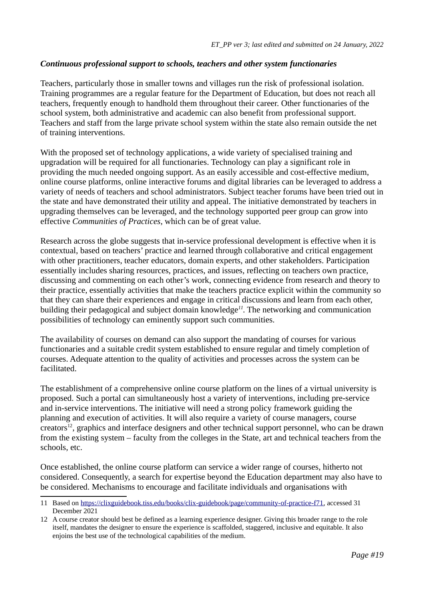## *Continuous professional support to schools, teachers and other system functionaries*

Teachers, particularly those in smaller towns and villages run the risk of professional isolation. Training programmes are a regular feature for the Department of Education, but does not reach all teachers, frequently enough to handhold them throughout their career. Other functionaries of the school system, both administrative and academic can also benefit from professional support. Teachers and staff from the large private school system within the state also remain outside the net of training interventions.

With the proposed set of technology applications, a wide variety of specialised training and upgradation will be required for all functionaries. Technology can play a significant role in providing the much needed ongoing support. As an easily accessible and cost-effective medium, online course platforms, online interactive forums and digital libraries can be leveraged to address a variety of needs of teachers and school administrators. Subject teacher forums have been tried out in the state and have demonstrated their utility and appeal. The initiative demonstrated by teachers in upgrading themselves can be leveraged, and the technology supported peer group can grow into effective *Communities of Practices*, which can be of great value.

Research across the globe suggests that in-service professional development is effective when it is contextual, based on teachers' practice and learned through collaborative and critical engagement with other practitioners, teacher educators, domain experts, and other stakeholders. Participation essentially includes sharing resources, practices, and issues, reflecting on teachers own practice, discussing and commenting on each other's work, connecting evidence from research and theory to their practice, essentially activities that make the teachers practice explicit within the community so that they can share their experiences and engage in critical discussions and learn from each other, building their pedagogical and subject domain knowledge*[11](#page-18-1)*. The networking and communication possibilities of technology can eminently support such communities.

<span id="page-18-0"></span>The availability of courses on demand can also support the mandating of courses for various functionaries and a suitable credit system established to ensure regular and timely completion of courses. Adequate attention to the quality of activities and processes across the system can be facilitated.

<span id="page-18-2"></span>The establishment of a comprehensive online course platform on the lines of a virtual university is proposed. Such a portal can simultaneously host a variety of interventions, including pre-service and in-service interventions. The initiative will need a strong policy framework guiding the planning and execution of activities. It will also require a variety of course managers, course creators<sup>[12](#page-18-3)</sup>, graphics and interface designers and other technical support personnel, who can be drawn from the existing system – faculty from the colleges in the State, art and technical teachers from the schools, etc.

Once established, the online course platform can service a wider range of courses, hitherto not considered. Consequently, a search for expertise beyond the Education department may also have to be considered. Mechanisms to encourage and facilitate individuals and organisations with

<span id="page-18-1"></span>[<sup>11</sup>](#page-18-0) Based on<https://clixguidebook.tiss.edu/books/clix-guidebook/page/community-of-practice-f71>, accessed 31 December 2021

<span id="page-18-3"></span>[<sup>12</sup>](#page-18-2) A course creator should best be defined as a learning experience designer. Giving this broader range to the role itself, mandates the designer to ensure the experience is scaffolded, staggered, inclusive and equitable. It also enjoins the best use of the technological capabilities of the medium.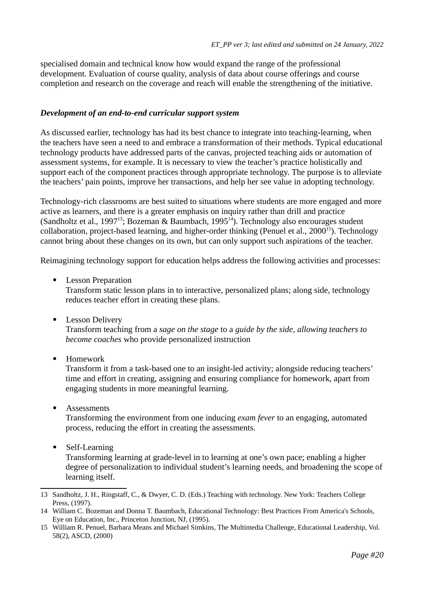specialised domain and technical know how would expand the range of the professional development. Evaluation of course quality, analysis of data about course offerings and course completion and research on the coverage and reach will enable the strengthening of the initiative.

#### *Development of an end-to-end curricular support system*

As discussed earlier, technology has had its best chance to integrate into teaching-learning, when the teachers have seen a need to and embrace a transformation of their methods. Typical educational technology products have addressed parts of the canvas, projected teaching aids or automation of assessment systems, for example. It is necessary to view the teacher's practice holistically and support each of the component practices through appropriate technology. The purpose is to alleviate the teachers' pain points, improve her transactions, and help her see value in adopting technology.

<span id="page-19-0"></span>Technology-rich classrooms are best suited to situations where students are more engaged and more active as learners, and there is a greater emphasis on inquiry rather than drill and practice (Sandholtz et al., 1997<sup>[13](#page-19-1)</sup>; Bozeman & Baumbach, 1995<sup>[14](#page-19-3)</sup>). Technology also encourages student collaboration, project-based learning, and higher-order thinking (Penuel et al., 2000<sup>[15](#page-19-5)</sup>). Technology cannot bring about these changes on its own, but can only support such aspirations of the teacher.

Reimagining technology support for education helps address the following activities and processes:

Lesson Preparation

<span id="page-19-4"></span><span id="page-19-2"></span>Transform static lesson plans in to interactive, personalized plans; along side, technology reduces teacher effort in creating these plans.

• Lesson Delivery

Transform teaching from a *sage on the stage* to a *guide by the side, allowing teachers to become coaches* who provide personalized instruction

Homework

Transform it from a task-based one to an insight-led activity; alongside reducing teachers' time and effort in creating, assigning and ensuring compliance for homework, apart from engaging students in more meaningful learning.

• Assessments

Transforming the environment from one inducing *exam fever* to an engaging, automated process, reducing the effort in creating the assessments.

• Self-Learning Transforming learning at grade-level in to learning at one's own pace; enabling a higher degree of personalization to individual student's learning needs, and broadening the scope of learning itself.

<span id="page-19-1"></span>[<sup>13</sup>](#page-19-0) Sandholtz, J. H., Ringstaff, C., & Dwyer, C. D. (Eds.) Teaching with technology. New York: Teachers College Press, (1997).

<span id="page-19-3"></span>[<sup>14</sup>](#page-19-2) William C. Bozeman and Donna T. Baumbach, Educational Technology: Best Practices From America's Schools, Eye on Education, Inc., Princeton Junction, NJ, (1995).

<span id="page-19-5"></span>[<sup>15</sup>](#page-19-4) William R. Penuel, Barbara Means and Michael Simkins, The Multimedia Challenge, Educational Leadership, Vol. 58(2), ASCD, (2000)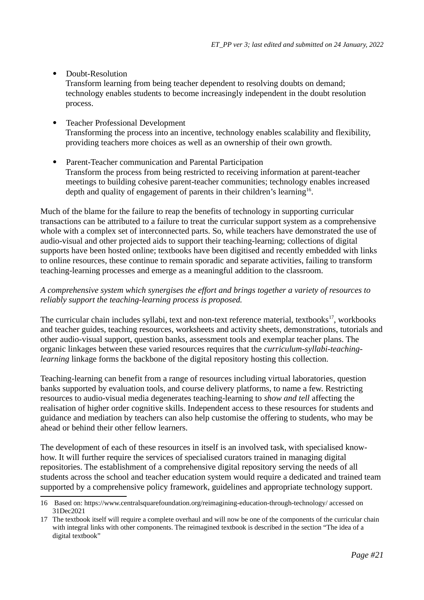• Doubt-Resolution

Transform learning from being teacher dependent to resolving doubts on demand; technology enables students to become increasingly independent in the doubt resolution process.

- Teacher Professional Development Transforming the process into an incentive, technology enables scalability and flexibility, providing teachers more choices as well as an ownership of their own growth.
- <span id="page-20-0"></span> Parent-Teacher communication and Parental Participation Transform the process from being restricted to receiving information at parent-teacher meetings to building cohesive parent-teacher communities; technology enables increased depth and quality of engagement of parents in their children's learning<sup>[16](#page-20-1)</sup>.

Much of the blame for the failure to reap the benefits of technology in supporting curricular transactions can be attributed to a failure to treat the curricular support system as a comprehensive whole with a complex set of interconnected parts. So, while teachers have demonstrated the use of audio-visual and other projected aids to support their teaching-learning; collections of digital supports have been hosted online; textbooks have been digitised and recently embedded with links to online resources, these continue to remain sporadic and separate activities, failing to transform teaching-learning processes and emerge as a meaningful addition to the classroom.

## *A comprehensive system which synergises the effort and brings together a variety of resources to reliably support the teaching-learning process is proposed.*

<span id="page-20-2"></span>The curricular chain includes syllabi, text and non-text reference material, textbooks<sup>[17](#page-20-3)</sup>, workbooks and teacher guides, teaching resources, worksheets and activity sheets, demonstrations, tutorials and other audio-visual support, question banks, assessment tools and exemplar teacher plans. The organic linkages between these varied resources requires that the *curriculum-syllabi-teachinglearning* linkage forms the backbone of the digital repository hosting this collection.

Teaching-learning can benefit from a range of resources including virtual laboratories, question banks supported by evaluation tools, and course delivery platforms, to name a few. Restricting resources to audio-visual media degenerates teaching-learning to *show and tell* affecting the realisation of higher order cognitive skills. Independent access to these resources for students and guidance and mediation by teachers can also help customise the offering to students, who may be ahead or behind their other fellow learners.

The development of each of these resources in itself is an involved task, with specialised knowhow. It will further require the services of specialised curators trained in managing digital repositories. The establishment of a comprehensive digital repository serving the needs of all students across the school and teacher education system would require a dedicated and trained team supported by a comprehensive policy framework, guidelines and appropriate technology support.

<span id="page-20-1"></span>[<sup>16</sup>](#page-20-0) Based on: https://www.centralsquarefoundation.org/reimagining-education-through-technology/ accessed on 31Dec2021

<span id="page-20-3"></span>[<sup>17</sup>](#page-20-2) The textbook itself will require a complete overhaul and will now be one of the components of the curricular chain with integral links with other components. The reimagined textbook is described in the section "The idea of a digital textbook"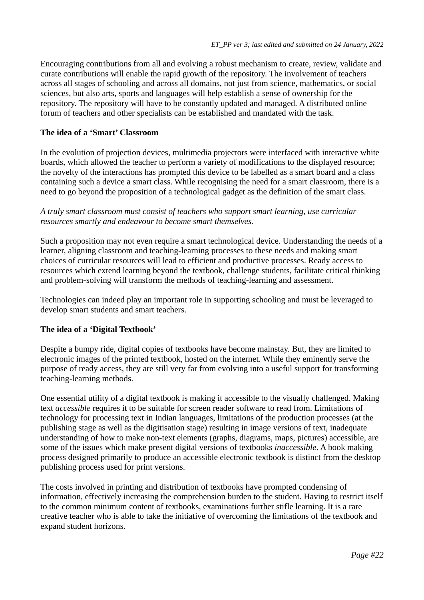Encouraging contributions from all and evolving a robust mechanism to create, review, validate and curate contributions will enable the rapid growth of the repository. The involvement of teachers across all stages of schooling and across all domains, not just from science, mathematics, or social sciences, but also arts, sports and languages will help establish a sense of ownership for the repository. The repository will have to be constantly updated and managed. A distributed online forum of teachers and other specialists can be established and mandated with the task.

## **The idea of a 'Smart' Classroom**

In the evolution of projection devices, multimedia projectors were interfaced with interactive white boards, which allowed the teacher to perform a variety of modifications to the displayed resource; the novelty of the interactions has prompted this device to be labelled as a smart board and a class containing such a device a smart class. While recognising the need for a smart classroom, there is a need to go beyond the proposition of a technological gadget as the definition of the smart class.

### *A truly smart classroom must consist of teachers who support smart learning, use curricular resources smartly and endeavour to become smart themselves.*

Such a proposition may not even require a smart technological device. Understanding the needs of a learner, aligning classroom and teaching-learning processes to these needs and making smart choices of curricular resources will lead to efficient and productive processes. Ready access to resources which extend learning beyond the textbook, challenge students, facilitate critical thinking and problem-solving will transform the methods of teaching-learning and assessment.

Technologies can indeed play an important role in supporting schooling and must be leveraged to develop smart students and smart teachers.

## **The idea of a 'Digital Textbook'**

Despite a bumpy ride, digital copies of textbooks have become mainstay. But, they are limited to electronic images of the printed textbook, hosted on the internet. While they eminently serve the purpose of ready access, they are still very far from evolving into a useful support for transforming teaching-learning methods.

One essential utility of a digital textbook is making it accessible to the visually challenged. Making text *accessible* requires it to be suitable for screen reader software to read from. Limitations of technology for processing text in Indian languages, limitations of the production processes (at the publishing stage as well as the digitisation stage) resulting in image versions of text, inadequate understanding of how to make non-text elements (graphs, diagrams, maps, pictures) accessible, are some of the issues which make present digital versions of textbooks *inaccessible*. A book making process designed primarily to produce an accessible electronic textbook is distinct from the desktop publishing process used for print versions.

The costs involved in printing and distribution of textbooks have prompted condensing of information, effectively increasing the comprehension burden to the student. Having to restrict itself to the common minimum content of textbooks, examinations further stifle learning. It is a rare creative teacher who is able to take the initiative of overcoming the limitations of the textbook and expand student horizons.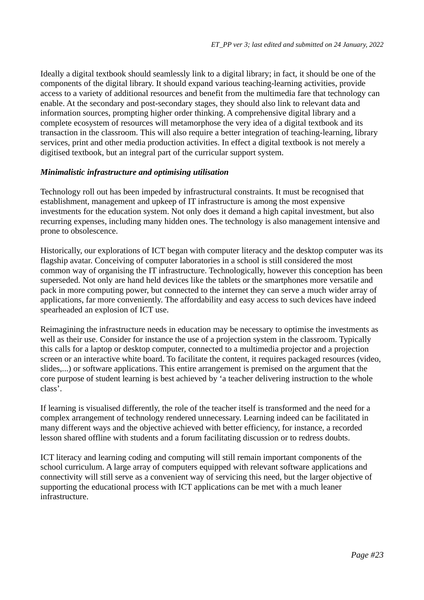Ideally a digital textbook should seamlessly link to a digital library; in fact, it should be one of the components of the digital library. It should expand various teaching-learning activities, provide access to a variety of additional resources and benefit from the multimedia fare that technology can enable. At the secondary and post-secondary stages, they should also link to relevant data and information sources, prompting higher order thinking. A comprehensive digital library and a complete ecosystem of resources will metamorphose the very idea of a digital textbook and its transaction in the classroom. This will also require a better integration of teaching-learning, library services, print and other media production activities. In effect a digital textbook is not merely a digitised textbook, but an integral part of the curricular support system.

## *Minimalistic infrastructure and optimising utilisation*

Technology roll out has been impeded by infrastructural constraints. It must be recognised that establishment, management and upkeep of IT infrastructure is among the most expensive investments for the education system. Not only does it demand a high capital investment, but also recurring expenses, including many hidden ones. The technology is also management intensive and prone to obsolescence.

Historically, our explorations of ICT began with computer literacy and the desktop computer was its flagship avatar. Conceiving of computer laboratories in a school is still considered the most common way of organising the IT infrastructure. Technologically, however this conception has been superseded. Not only are hand held devices like the tablets or the smartphones more versatile and pack in more computing power, but connected to the internet they can serve a much wider array of applications, far more conveniently. The affordability and easy access to such devices have indeed spearheaded an explosion of ICT use.

Reimagining the infrastructure needs in education may be necessary to optimise the investments as well as their use. Consider for instance the use of a projection system in the classroom. Typically this calls for a laptop or desktop computer, connected to a multimedia projector and a projection screen or an interactive white board. To facilitate the content, it requires packaged resources (video, slides,...) or software applications. This entire arrangement is premised on the argument that the core purpose of student learning is best achieved by 'a teacher delivering instruction to the whole class'.

If learning is visualised differently, the role of the teacher itself is transformed and the need for a complex arrangement of technology rendered unnecessary. Learning indeed can be facilitated in many different ways and the objective achieved with better efficiency, for instance, a recorded lesson shared offline with students and a forum facilitating discussion or to redress doubts.

ICT literacy and learning coding and computing will still remain important components of the school curriculum. A large array of computers equipped with relevant software applications and connectivity will still serve as a convenient way of servicing this need, but the larger objective of supporting the educational process with ICT applications can be met with a much leaner infrastructure.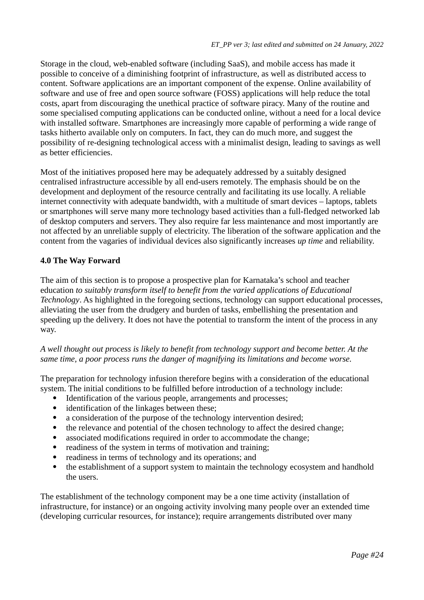Storage in the cloud, web-enabled software (including SaaS), and mobile access has made it possible to conceive of a diminishing footprint of infrastructure, as well as distributed access to content. Software applications are an important component of the expense. Online availability of software and use of free and open source software (FOSS) applications will help reduce the total costs, apart from discouraging the unethical practice of software piracy. Many of the routine and some specialised computing applications can be conducted online, without a need for a local device with installed software. Smartphones are increasingly more capable of performing a wide range of tasks hitherto available only on computers. In fact, they can do much more, and suggest the possibility of re-designing technological access with a minimalist design, leading to savings as well as better efficiencies.

Most of the initiatives proposed here may be adequately addressed by a suitably designed centralised infrastructure accessible by all end-users remotely. The emphasis should be on the development and deployment of the resource centrally and facilitating its use locally. A reliable internet connectivity with adequate bandwidth, with a multitude of smart devices – laptops, tablets or smartphones will serve many more technology based activities than a full-fledged networked lab of desktop computers and servers. They also require far less maintenance and most importantly are not affected by an unreliable supply of electricity. The liberation of the software application and the content from the vagaries of individual devices also significantly increases *up time* and reliability.

## **4.0 The Way Forward**

The aim of this section is to propose a prospective plan for Karnataka's school and teacher education *to suitably transform itself to benefit from the varied applications of Educational Technology*. As highlighted in the foregoing sections, technology can support educational processes, alleviating the user from the drudgery and burden of tasks, embellishing the presentation and speeding up the delivery. It does not have the potential to transform the intent of the process in any way.

*A well thought out process is likely to benefit from technology support and become better. At the same time, a poor process runs the danger of magnifying its limitations and become worse.*

The preparation for technology infusion therefore begins with a consideration of the educational system. The initial conditions to be fulfilled before introduction of a technology include:

- Identification of the various people, arrangements and processes;
- identification of the linkages between these;
- a consideration of the purpose of the technology intervention desired;<br>• the relevance and potential of the chosen technology to affect the desired
- the relevance and potential of the chosen technology to affect the desired change;<br>• associated modifications required in order to accommodate the change:
- associated modifications required in order to accommodate the change;
- readiness of the system in terms of motivation and training;
- readiness in terms of technology and its operations; and<br>• the establishment of a support system to maintain the technology
- the establishment of a support system to maintain the technology ecosystem and handhold the users.

The establishment of the technology component may be a one time activity (installation of infrastructure, for instance) or an ongoing activity involving many people over an extended time (developing curricular resources, for instance); require arrangements distributed over many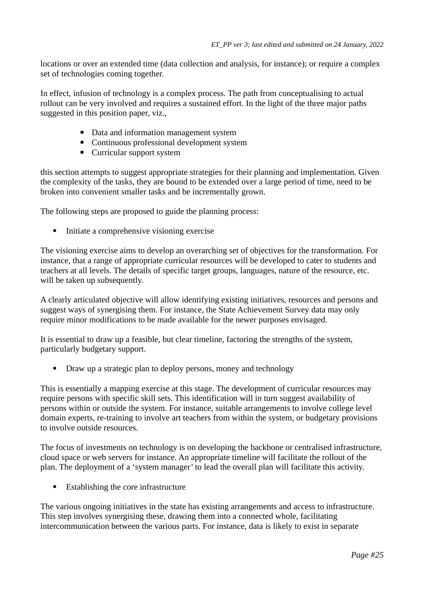locations or over an extended time (data collection and analysis, for instance); or require a complex set of technologies coming together.

In effect, infusion of technology is a complex process. The path from conceptualising to actual rollout can be very involved and requires a sustained effort. In the light of the three major paths suggested in this position paper, viz.,

- Data and information management system
- Continuous professional development system
- Curricular support system

this section attempts to suggest appropriate strategies for their planning and implementation. Given the complexity of the tasks, they are bound to be extended over a large period of time, need to be broken into convenient smaller tasks and be incrementally grown.

The following steps are proposed to guide the planning process:

• Initiate a comprehensive visioning exercise

The visioning exercise aims to develop an overarching set of objectives for the transformation. For instance, that a range of appropriate curricular resources will be developed to cater to students and teachers at all levels. The details of specific target groups, languages, nature of the resource, etc. will be taken up subsequently.

A clearly articulated objective will allow identifying existing initiatives, resources and persons and suggest ways of synergising them. For instance, the State Achievement Survey data may only require minor modifications to be made available for the newer purposes envisaged.

It is essential to draw up a feasible, but clear timeline, factoring the strengths of the system, particularly budgetary support.

• Draw up a strategic plan to deploy persons, money and technology

This is essentially a mapping exercise at this stage. The development of curricular resources may require persons with specific skill sets. This identification will in turn suggest availability of persons within or outside the system. For instance, suitable arrangements to involve college level domain experts, re-training to involve art teachers from within the system, or budgetary provisions to involve outside resources.

The focus of investments on technology is on developing the backbone or centralised infrastructure, cloud space or web servers for instance. An appropriate timeline will facilitate the rollout of the plan. The deployment of a 'system manager' to lead the overall plan will facilitate this activity.

Establishing the core infrastructure

The various ongoing initiatives in the state has existing arrangements and access to infrastructure. This step involves synergising these, drawing them into a connected whole, facilitating intercommunication between the various parts. For instance, data is likely to exist in separate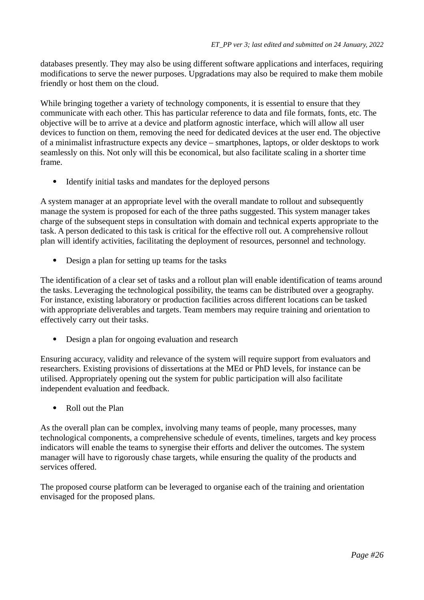databases presently. They may also be using different software applications and interfaces, requiring modifications to serve the newer purposes. Upgradations may also be required to make them mobile friendly or host them on the cloud.

While bringing together a variety of technology components, it is essential to ensure that they communicate with each other. This has particular reference to data and file formats, fonts, etc. The objective will be to arrive at a device and platform agnostic interface, which will allow all user devices to function on them, removing the need for dedicated devices at the user end. The objective of a minimalist infrastructure expects any device – smartphones, laptops, or older desktops to work seamlessly on this. Not only will this be economical, but also facilitate scaling in a shorter time frame.

• Identify initial tasks and mandates for the deployed persons

A system manager at an appropriate level with the overall mandate to rollout and subsequently manage the system is proposed for each of the three paths suggested. This system manager takes charge of the subsequent steps in consultation with domain and technical experts appropriate to the task. A person dedicated to this task is critical for the effective roll out. A comprehensive rollout plan will identify activities, facilitating the deployment of resources, personnel and technology.

• Design a plan for setting up teams for the tasks

The identification of a clear set of tasks and a rollout plan will enable identification of teams around the tasks. Leveraging the technological possibility, the teams can be distributed over a geography. For instance, existing laboratory or production facilities across different locations can be tasked with appropriate deliverables and targets. Team members may require training and orientation to effectively carry out their tasks.

• Design a plan for ongoing evaluation and research

Ensuring accuracy, validity and relevance of the system will require support from evaluators and researchers. Existing provisions of dissertations at the MEd or PhD levels, for instance can be utilised. Appropriately opening out the system for public participation will also facilitate independent evaluation and feedback.

Roll out the Plan

As the overall plan can be complex, involving many teams of people, many processes, many technological components, a comprehensive schedule of events, timelines, targets and key process indicators will enable the teams to synergise their efforts and deliver the outcomes. The system manager will have to rigorously chase targets, while ensuring the quality of the products and services offered.

The proposed course platform can be leveraged to organise each of the training and orientation envisaged for the proposed plans.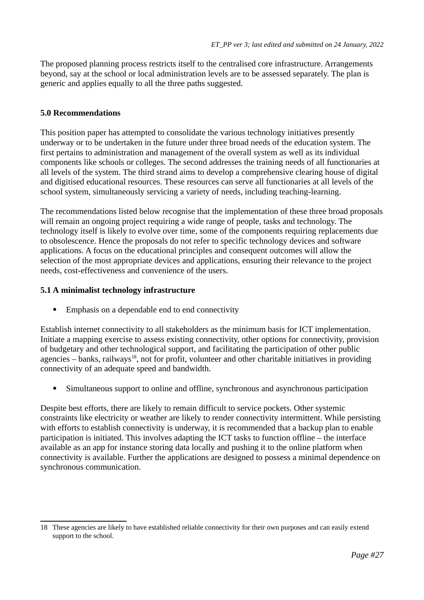The proposed planning process restricts itself to the centralised core infrastructure. Arrangements beyond, say at the school or local administration levels are to be assessed separately. The plan is generic and applies equally to all the three paths suggested.

## **5.0 Recommendations**

This position paper has attempted to consolidate the various technology initiatives presently underway or to be undertaken in the future under three broad needs of the education system. The first pertains to administration and management of the overall system as well as its individual components like schools or colleges. The second addresses the training needs of all functionaries at all levels of the system. The third strand aims to develop a comprehensive clearing house of digital and digitised educational resources. These resources can serve all functionaries at all levels of the school system, simultaneously servicing a variety of needs, including teaching-learning.

The recommendations listed below recognise that the implementation of these three broad proposals will remain an ongoing project requiring a wide range of people, tasks and technology. The technology itself is likely to evolve over time, some of the components requiring replacements due to obsolescence. Hence the proposals do not refer to specific technology devices and software applications. A focus on the educational principles and consequent outcomes will allow the selection of the most appropriate devices and applications, ensuring their relevance to the project needs, cost-effectiveness and convenience of the users.

## **5.1 A minimalist technology infrastructure**

Emphasis on a dependable end to end connectivity

Establish internet connectivity to all stakeholders as the minimum basis for ICT implementation. Initiate a mapping exercise to assess existing connectivity, other options for connectivity, provision of budgetary and other technological support, and facilitating the participation of other public agencies – banks, railways<sup>[18](#page-26-1)</sup>, not for profit, volunteer and other charitable initiatives in providing connectivity of an adequate speed and bandwidth.

<span id="page-26-0"></span>Simultaneous support to online and offline, synchronous and asynchronous participation

Despite best efforts, there are likely to remain difficult to service pockets. Other systemic constraints like electricity or weather are likely to render connectivity intermittent. While persisting with efforts to establish connectivity is underway, it is recommended that a backup plan to enable participation is initiated. This involves adapting the ICT tasks to function offline – the interface available as an app for instance storing data locally and pushing it to the online platform when connectivity is available. Further the applications are designed to possess a minimal dependence on synchronous communication.

<span id="page-26-1"></span>[<sup>18</sup>](#page-26-0) These agencies are likely to have established reliable connectivity for their own purposes and can easily extend support to the school.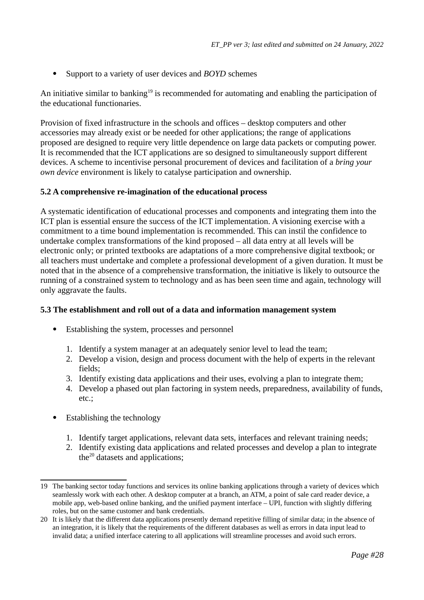<span id="page-27-0"></span>Support to a variety of user devices and *BOYD* schemes

An initiative similar to banking<sup>[19](#page-27-1)</sup> is recommended for automating and enabling the participation of the educational functionaries.

Provision of fixed infrastructure in the schools and offices – desktop computers and other accessories may already exist or be needed for other applications; the range of applications proposed are designed to require very little dependence on large data packets or computing power. It is recommended that the ICT applications are so designed to simultaneously support different devices. A scheme to incentivise personal procurement of devices and facilitation of a *bring your own device* environment is likely to catalyse participation and ownership.

## **5.2 A comprehensive re-imagination of the educational process**

A systematic identification of educational processes and components and integrating them into the ICT plan is essential ensure the success of the ICT implementation. A visioning exercise with a commitment to a time bound implementation is recommended. This can instil the confidence to undertake complex transformations of the kind proposed – all data entry at all levels will be electronic only; or printed textbooks are adaptations of a more comprehensive digital textbook; or all teachers must undertake and complete a professional development of a given duration. It must be noted that in the absence of a comprehensive transformation, the initiative is likely to outsource the running of a constrained system to technology and as has been seen time and again, technology will only aggravate the faults.

## **5.3 The establishment and roll out of a data and information management system**

- Establishing the system, processes and personnel
	- 1. Identify a system manager at an adequately senior level to lead the team;
	- 2. Develop a vision, design and process document with the help of experts in the relevant fields;
	- 3. Identify existing data applications and their uses, evolving a plan to integrate them;
	- 4. Develop a phased out plan factoring in system needs, preparedness, availability of funds, etc.;
- <span id="page-27-2"></span>• Establishing the technology
	- 1. Identify target applications, relevant data sets, interfaces and relevant training needs;
	- 2. Identify existing data applications and related processes and develop a plan to integrate the $20$  datasets and applications;

<span id="page-27-1"></span>[<sup>19</sup>](#page-27-0) The banking sector today functions and services its online banking applications through a variety of devices which seamlessly work with each other. A desktop computer at a branch, an ATM, a point of sale card reader device, a mobile app, web-based online banking, and the unified payment interface – UPI, function with slightly differing roles, but on the same customer and bank credentials.

<span id="page-27-3"></span>[<sup>20</sup>](#page-27-2) It is likely that the different data applications presently demand repetitive filling of similar data; in the absence of an integration, it is likely that the requirements of the different databases as well as errors in data input lead to invalid data; a unified interface catering to all applications will streamline processes and avoid such errors.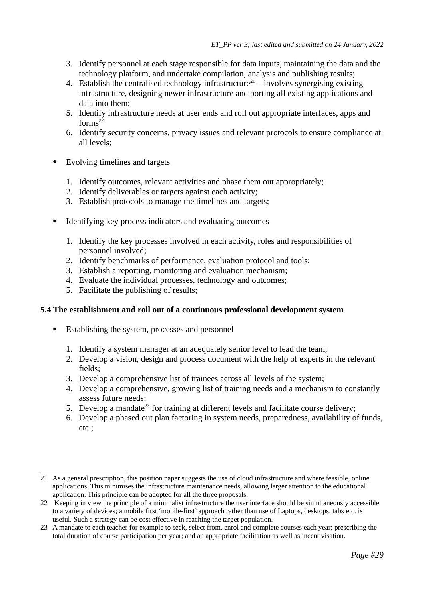- 3. Identify personnel at each stage responsible for data inputs, maintaining the data and the technology platform, and undertake compilation, analysis and publishing results;
- <span id="page-28-0"></span>4. Establish the centralised technology infrastructure<sup>[21](#page-28-1)</sup> – involves synergising existing infrastructure, designing newer infrastructure and porting all existing applications and data into them;
- <span id="page-28-2"></span>5. Identify infrastructure needs at user ends and roll out appropriate interfaces, apps and  $forms<sup>22</sup>$  $forms<sup>22</sup>$  $forms<sup>22</sup>$
- 6. Identify security concerns, privacy issues and relevant protocols to ensure compliance at all levels;
- Evolving timelines and targets
	- 1. Identify outcomes, relevant activities and phase them out appropriately;
	- 2. Identify deliverables or targets against each activity;
	- 3. Establish protocols to manage the timelines and targets;
- Identifying key process indicators and evaluating outcomes
	- 1. Identify the key processes involved in each activity, roles and responsibilities of personnel involved;
	- 2. Identify benchmarks of performance, evaluation protocol and tools;
	- 3. Establish a reporting, monitoring and evaluation mechanism;
	- 4. Evaluate the individual processes, technology and outcomes;
	- 5. Facilitate the publishing of results;

#### **5.4 The establishment and roll out of a continuous professional development system**

- <span id="page-28-4"></span> Establishing the system, processes and personnel
	- 1. Identify a system manager at an adequately senior level to lead the team;
	- 2. Develop a vision, design and process document with the help of experts in the relevant fields;
	- 3. Develop a comprehensive list of trainees across all levels of the system;
	- 4. Develop a comprehensive, growing list of training needs and a mechanism to constantly assess future needs;
	- 5. Develop a mandate<sup>[23](#page-28-5)</sup> for training at different levels and facilitate course delivery;
	- 6. Develop a phased out plan factoring in system needs, preparedness, availability of funds, etc.;

<span id="page-28-1"></span>[<sup>21</sup>](#page-28-0) As a general prescription, this position paper suggests the use of cloud infrastructure and where feasible, online applications. This minimises the infrastructure maintenance needs, allowing larger attention to the educational application. This principle can be adopted for all the three proposals.

<span id="page-28-3"></span>[<sup>22</sup>](#page-28-2) Keeping in view the principle of a minimalist infrastructure the user interface should be simultaneously accessible to a variety of devices; a mobile first 'mobile-first' approach rather than use of Laptops, desktops, tabs etc. is useful. Such a strategy can be cost effective in reaching the target population.

<span id="page-28-5"></span>[<sup>23</sup>](#page-28-4) A mandate to each teacher for example to seek, select from, enrol and complete courses each year; prescribing the total duration of course participation per year; and an appropriate facilitation as well as incentivisation.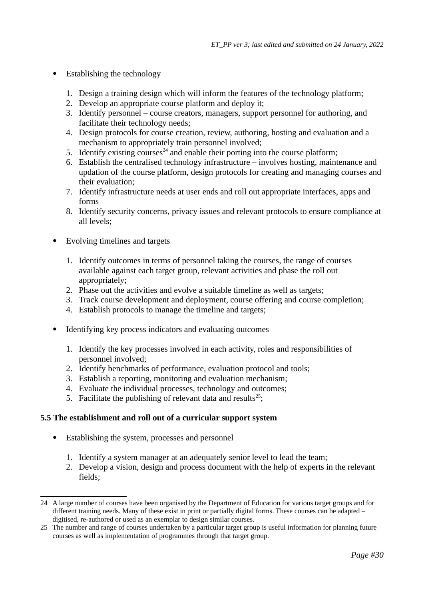- <span id="page-29-0"></span>• Establishing the technology
	- 1. Design a training design which will inform the features of the technology platform;
	- 2. Develop an appropriate course platform and deploy it;
	- 3. Identify personnel course creators, managers, support personnel for authoring, and facilitate their technology needs;
	- 4. Design protocols for course creation, review, authoring, hosting and evaluation and a mechanism to appropriately train personnel involved;
	- 5. Identify existing courses<sup>[24](#page-29-1)</sup> and enable their porting into the course platform;
	- 6. Establish the centralised technology infrastructure involves hosting, maintenance and updation of the course platform, design protocols for creating and managing courses and their evaluation;
	- 7. Identify infrastructure needs at user ends and roll out appropriate interfaces, apps and forms
	- 8. Identify security concerns, privacy issues and relevant protocols to ensure compliance at all levels;
- Evolving timelines and targets
	- 1. Identify outcomes in terms of personnel taking the courses, the range of courses available against each target group, relevant activities and phase the roll out appropriately;
	- 2. Phase out the activities and evolve a suitable timeline as well as targets;
	- 3. Track course development and deployment, course offering and course completion;
	- 4. Establish protocols to manage the timeline and targets;
- Identifying key process indicators and evaluating outcomes
	- 1. Identify the key processes involved in each activity, roles and responsibilities of personnel involved;
	- 2. Identify benchmarks of performance, evaluation protocol and tools;
	- 3. Establish a reporting, monitoring and evaluation mechanism;
	- 4. Evaluate the individual processes, technology and outcomes;
	- 5. Facilitate the publishing of relevant data and results<sup>[25](#page-29-3)</sup>;

#### **5.5 The establishment and roll out of a curricular support system**

- <span id="page-29-2"></span> Establishing the system, processes and personnel
	- 1. Identify a system manager at an adequately senior level to lead the team;
	- 2. Develop a vision, design and process document with the help of experts in the relevant fields;

<span id="page-29-1"></span>[<sup>24</sup>](#page-29-0) A large number of courses have been organised by the Department of Education for various target groups and for different training needs. Many of these exist in print or partially digital forms. These courses can be adapted – digitised, re-authored or used as an exemplar to design similar courses.

<span id="page-29-3"></span>[<sup>25</sup>](#page-29-2) The number and range of courses undertaken by a particular target group is useful information for planning future courses as well as implementation of programmes through that target group.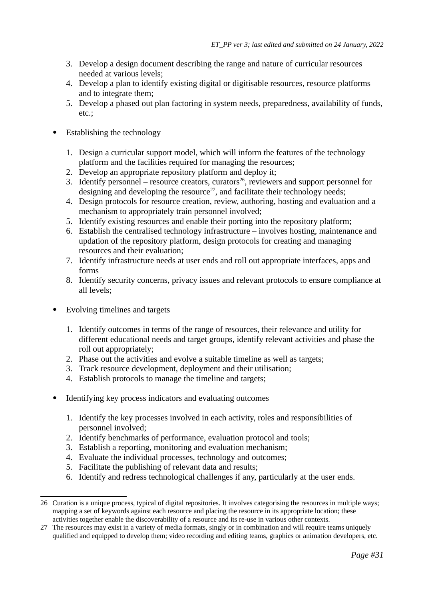- 3. Develop a design document describing the range and nature of curricular resources needed at various levels;
- 4. Develop a plan to identify existing digital or digitisable resources, resource platforms and to integrate them;
- <span id="page-30-0"></span>5. Develop a phased out plan factoring in system needs, preparedness, availability of funds, etc.;
- <span id="page-30-2"></span>• Establishing the technology
	- 1. Design a curricular support model, which will inform the features of the technology platform and the facilities required for managing the resources;
	- 2. Develop an appropriate repository platform and deploy it;
	- 3. Identify personnel resource creators, curators<sup>[26](#page-30-1)</sup>, reviewers and support personnel for designing and developing the resource<sup>[27](#page-30-3)</sup>, and facilitate their technology needs;
	- 4. Design protocols for resource creation, review, authoring, hosting and evaluation and a mechanism to appropriately train personnel involved;
	- 5. Identify existing resources and enable their porting into the repository platform;
	- 6. Establish the centralised technology infrastructure involves hosting, maintenance and updation of the repository platform, design protocols for creating and managing resources and their evaluation;
	- 7. Identify infrastructure needs at user ends and roll out appropriate interfaces, apps and forms
	- 8. Identify security concerns, privacy issues and relevant protocols to ensure compliance at all levels;
- Evolving timelines and targets
	- 1. Identify outcomes in terms of the range of resources, their relevance and utility for different educational needs and target groups, identify relevant activities and phase the roll out appropriately;
	- 2. Phase out the activities and evolve a suitable timeline as well as targets;
	- 3. Track resource development, deployment and their utilisation;
	- 4. Establish protocols to manage the timeline and targets;
- Identifying key process indicators and evaluating outcomes
	- 1. Identify the key processes involved in each activity, roles and responsibilities of personnel involved;
	- 2. Identify benchmarks of performance, evaluation protocol and tools;
	- 3. Establish a reporting, monitoring and evaluation mechanism;
	- 4. Evaluate the individual processes, technology and outcomes;
	- 5. Facilitate the publishing of relevant data and results;
	- 6. Identify and redress technological challenges if any, particularly at the user ends.

<span id="page-30-1"></span>[<sup>26</sup>](#page-30-0) Curation is a unique process, typical of digital repositories. It involves categorising the resources in multiple ways; mapping a set of keywords against each resource and placing the resource in its appropriate location; these activities together enable the discoverability of a resource and its re-use in various other contexts.

<span id="page-30-3"></span>[<sup>27</sup>](#page-30-2) The resources may exist in a variety of media formats, singly or in combination and will require teams uniquely qualified and equipped to develop them; video recording and editing teams, graphics or animation developers, etc.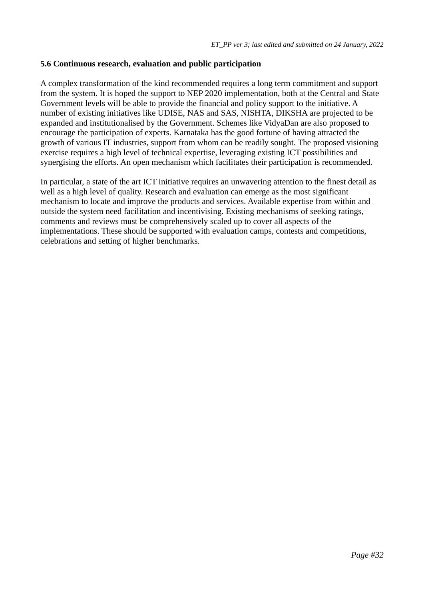#### **5.6 Continuous research, evaluation and public participation**

A complex transformation of the kind recommended requires a long term commitment and support from the system. It is hoped the support to NEP 2020 implementation, both at the Central and State Government levels will be able to provide the financial and policy support to the initiative. A number of existing initiatives like UDISE, NAS and SAS, NISHTA, DIKSHA are projected to be expanded and institutionalised by the Government. Schemes like VidyaDan are also proposed to encourage the participation of experts. Karnataka has the good fortune of having attracted the growth of various IT industries, support from whom can be readily sought. The proposed visioning exercise requires a high level of technical expertise, leveraging existing ICT possibilities and synergising the efforts. An open mechanism which facilitates their participation is recommended.

In particular, a state of the art ICT initiative requires an unwavering attention to the finest detail as well as a high level of quality. Research and evaluation can emerge as the most significant mechanism to locate and improve the products and services. Available expertise from within and outside the system need facilitation and incentivising. Existing mechanisms of seeking ratings, comments and reviews must be comprehensively scaled up to cover all aspects of the implementations. These should be supported with evaluation camps, contests and competitions, celebrations and setting of higher benchmarks.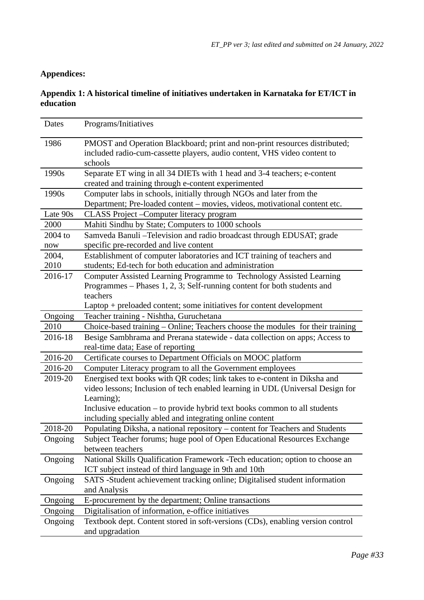# **Appendices:**

# **Appendix 1: A historical timeline of initiatives undertaken in Karnataka for ET/ICT in education**

| <b>Dates</b>  | Programs/Initiatives                                                                                                                                        |
|---------------|-------------------------------------------------------------------------------------------------------------------------------------------------------------|
| 1986          | PMOST and Operation Blackboard; print and non-print resources distributed;                                                                                  |
|               | included radio-cum-cassette players, audio content, VHS video content to                                                                                    |
|               | schools                                                                                                                                                     |
| 1990s         | Separate ET wing in all 34 DIETs with 1 head and 3-4 teachers; e-content<br>created and training through e-content experimented                             |
| 1990s         | Computer labs in schools, initially through NGOs and later from the                                                                                         |
|               | Department; Pre-loaded content - movies, videos, motivational content etc.                                                                                  |
| Late 90s      | CLASS Project - Computer literacy program                                                                                                                   |
| 2000          | Mahiti Sindhu by State; Computers to 1000 schools                                                                                                           |
| 2004 to       | Samveda Banuli-Television and radio broadcast through EDUSAT; grade                                                                                         |
| now           | specific pre-recorded and live content                                                                                                                      |
| 2004,<br>2010 | Establishment of computer laboratories and ICT training of teachers and<br>students; Ed-tech for both education and administration                          |
| 2016-17       | Computer Assisted Learning Programme to Technology Assisted Learning<br>Programmes - Phases 1, 2, 3; Self-running content for both students and<br>teachers |
|               | Laptop + preloaded content; some initiatives for content development                                                                                        |
| Ongoing       | Teacher training - Nishtha, Guruchetana                                                                                                                     |
| 2010          | Choice-based training - Online; Teachers choose the modules for their training                                                                              |
| 2016-18       | Besige Sambhrama and Prerana statewide - data collection on apps; Access to                                                                                 |
|               | real-time data; Ease of reporting                                                                                                                           |
| 2016-20       | Certificate courses to Department Officials on MOOC platform                                                                                                |
| 2016-20       | Computer Literacy program to all the Government employees                                                                                                   |
| 2019-20       | Energised text books with QR codes; link takes to e-content in Diksha and                                                                                   |
|               | video lessons; Inclusion of tech enabled learning in UDL (Universal Design for                                                                              |
|               | Learning);                                                                                                                                                  |
|               | Inclusive education - to provide hybrid text books common to all students<br>including specially abled and integrating online content                       |
| 2018-20       | Populating Diksha, a national repository - content for Teachers and Students                                                                                |
| Ongoing       | Subject Teacher forums; huge pool of Open Educational Resources Exchange                                                                                    |
|               | between teachers                                                                                                                                            |
| Ongoing       | National Skills Qualification Framework -Tech education; option to choose an                                                                                |
|               | ICT subject instead of third language in 9th and 10th                                                                                                       |
| Ongoing       | SATS -Student achievement tracking online; Digitalised student information                                                                                  |
|               | and Analysis                                                                                                                                                |
| Ongoing       | E-procurement by the department; Online transactions                                                                                                        |
| Ongoing       | Digitalisation of information, e-office initiatives                                                                                                         |
| Ongoing       | Textbook dept. Content stored in soft-versions (CDs), enabling version control<br>and upgradation                                                           |